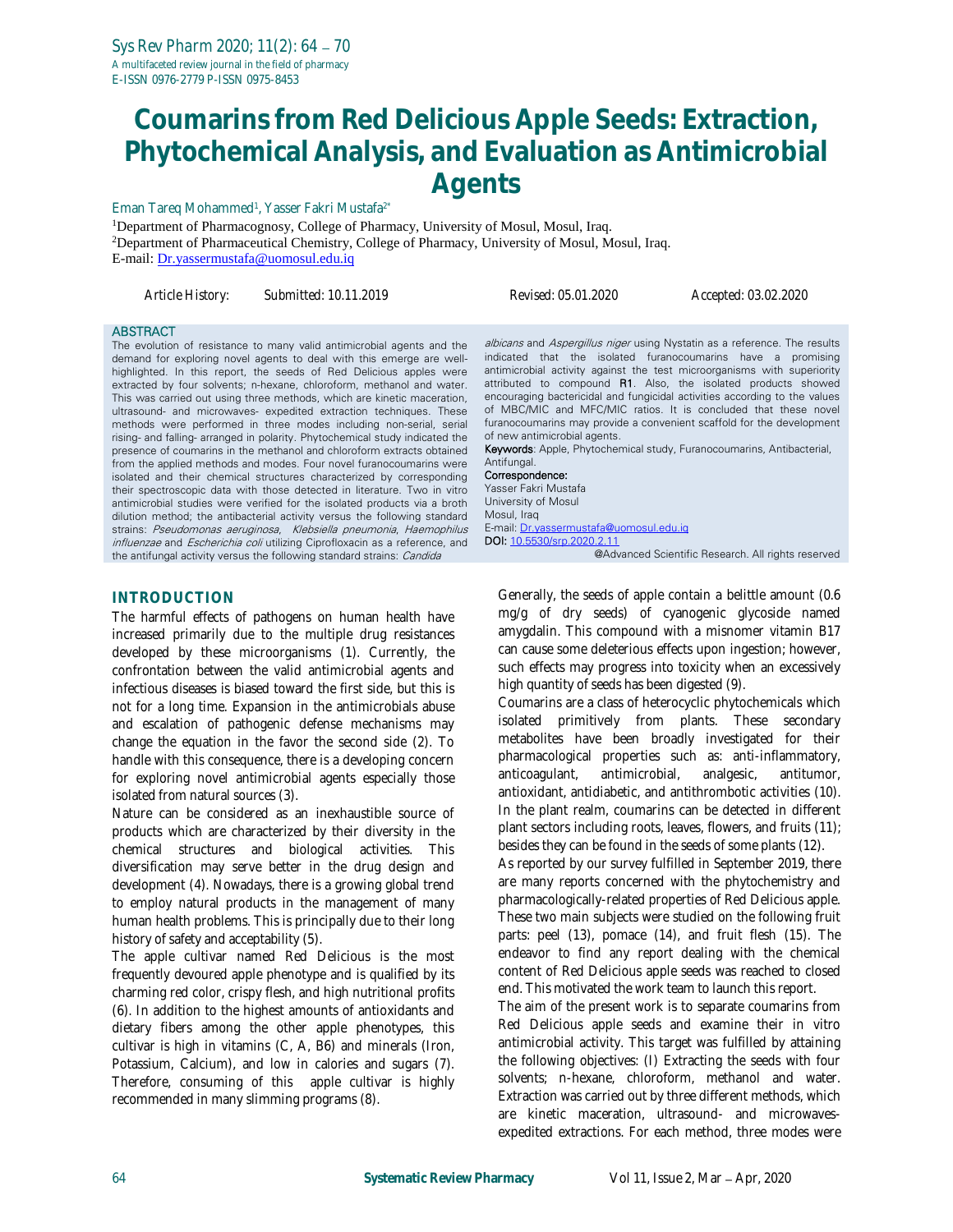# **Coumarins from Red Delicious Apple Seeds: Extraction, Phytochemical Analysis, and Evaluation as Antimicrobial Agents**

#### Eman Tareq Mohammed<sup>1</sup>, Yasser Fakri Mustafa<sup>2\*</sup>

<sup>1</sup>Department of Pharmacognosy, College of Pharmacy, University of Mosul, Mosul, Iraq. <sup>2</sup>Department of Pharmaceutical Chemistry, College of Pharmacy, University of Mosul, Mosul, Iraq. E-mail: [Dr.yassermustafa@uomosul.edu.iq](mailto:Dr.yassermustafa@uomosul.edu.iq)

| Article History: | Submitted: 10.11.2019 | Rev |
|------------------|-----------------------|-----|

*Article History: Submitted: 10.11.2019 Revised: 05.01.2020 Accepted: 03.02.2020*

#### **ABSTRACT**

The evolution of resistance to many valid antimicrobial agents and the demand for exploring novel agents to deal with this emerge are wellhighlighted. In this report, the seeds of Red Delicious apples were extracted by four solvents; n-hexane, chloroform, methanol and water. This was carried out using three methods, which are kinetic maceration, ultrasound- and microwaves- expedited extraction techniques. These methods were performed in three modes including non-serial, serial rising- and falling- arranged in polarity. Phytochemical study indicated the presence of coumarins in the methanol and chloroform extracts obtained from the applied methods and modes. Four novel furanocoumarins were isolated and their chemical structures characterized by corresponding their spectroscopic data with those detected in literature. Two in vitro antimicrobial studies were verified for the isolated products via a broth dilution method; the antibacterial activity versus the following standard strains: Pseudomonas aeruginosa, Klebsiella pneumonia, Haemophilus influenzae and *Escherichia coli* utilizing Ciprofloxacin as a reference, and the antifungal activity versus the following standard strains: Candida

#### **INTRODUCTION**

The harmful effects of pathogens on human health have increased primarily due to the multiple drug resistances developed by these microorganisms (1). Currently, the confrontation between the valid antimicrobial agents and infectious diseases is biased toward the first side, but this is not for a long time. Expansion in the antimicrobials abuse and escalation of pathogenic defense mechanisms may change the equation in the favor the second side (2). To handle with this consequence, there is a developing concern for exploring novel antimicrobial agents especially those isolated from natural sources (3).

Nature can be considered as an inexhaustible source of products which are characterized by their diversity in the chemical structures and biological activities. This diversification may serve better in the drug design and development (4). Nowadays, there is a growing global trend to employ natural products in the management of many human health problems. This is principally due to their long history of safety and acceptability (5).

The apple cultivar named Red Delicious is the most frequently devoured apple phenotype and is qualified by its charming red color, crispy flesh, and high nutritional profits (6). In addition to the highest amounts of antioxidants and dietary fibers among the other apple phenotypes, this cultivar is high in vitamins (C, A, B6) and minerals (Iron, Potassium, Calcium), and low in calories and sugars (7). Therefore, consuming of this apple cultivar is highly recommended in many slimming programs (8).

albicans and Aspergillus niger using Nystatin as a reference. The results indicated that the isolated furanocoumarins have a promising antimicrobial activity against the test microorganisms with superiority attributed to compound R1. Also, the isolated products showed encouraging bactericidal and fungicidal activities according to the values of MBC/MIC and MFC/MIC ratios. It is concluded that these novel furanocoumarins may provide a convenient scaffold for the development of new antimicrobial agents.

Keywords: Apple, Phytochemical study, Furanocoumarins, Antibacterial, **Antifungal.** 

#### Correspondence:

Yasser Fakri Mustafa University of Mosul Mosul, Iraq E-mail[: Dr.yassermustafa@uomosul.edu.iq](mailto:Dr.yassermustafa@uomosul.edu.iq) DOI: [10.5530/srp.2020.2.11](http://dx.doi.org/10.5530/srp.2019.2.04) @Advanced Scientific Research. All rights reserved

Generally, the seeds of apple contain a belittle amount (0.6 mg/g of dry seeds) of cyanogenic glycoside named amygdalin. This compound with a misnomer vitamin B17 can cause some deleterious effects upon ingestion; however, such effects may progress into toxicity when an excessively high quantity of seeds has been digested (9).

Coumarins are a class of heterocyclic phytochemicals which isolated primitively from plants. These secondary metabolites have been broadly investigated for their pharmacological properties such as: anti-inflammatory, anticoagulant, antimicrobial, analgesic, antitumor, antioxidant, antidiabetic, and antithrombotic activities (10). In the plant realm, coumarins can be detected in different plant sectors including roots, leaves, flowers, and fruits (11); besides they can be found in the seeds of some plants (12).

As reported by our survey fulfilled in September 2019, there are many reports concerned with the phytochemistry and pharmacologically-related properties of Red Delicious apple. These two main subjects were studied on the following fruit parts: peel (13), pomace (14), and fruit flesh (15). The endeavor to find any report dealing with the chemical content of Red Delicious apple seeds was reached to closed end. This motivated the work team to launch this report.

The aim of the present work is to separate coumarins from Red Delicious apple seeds and examine their in vitro antimicrobial activity. This target was fulfilled by attaining the following objectives: (I) Extracting the seeds with four solvents; n-hexane, chloroform, methanol and water. Extraction was carried out by three different methods, which are kinetic maceration, ultrasound- and microwavesexpedited extractions. For each method, three modes were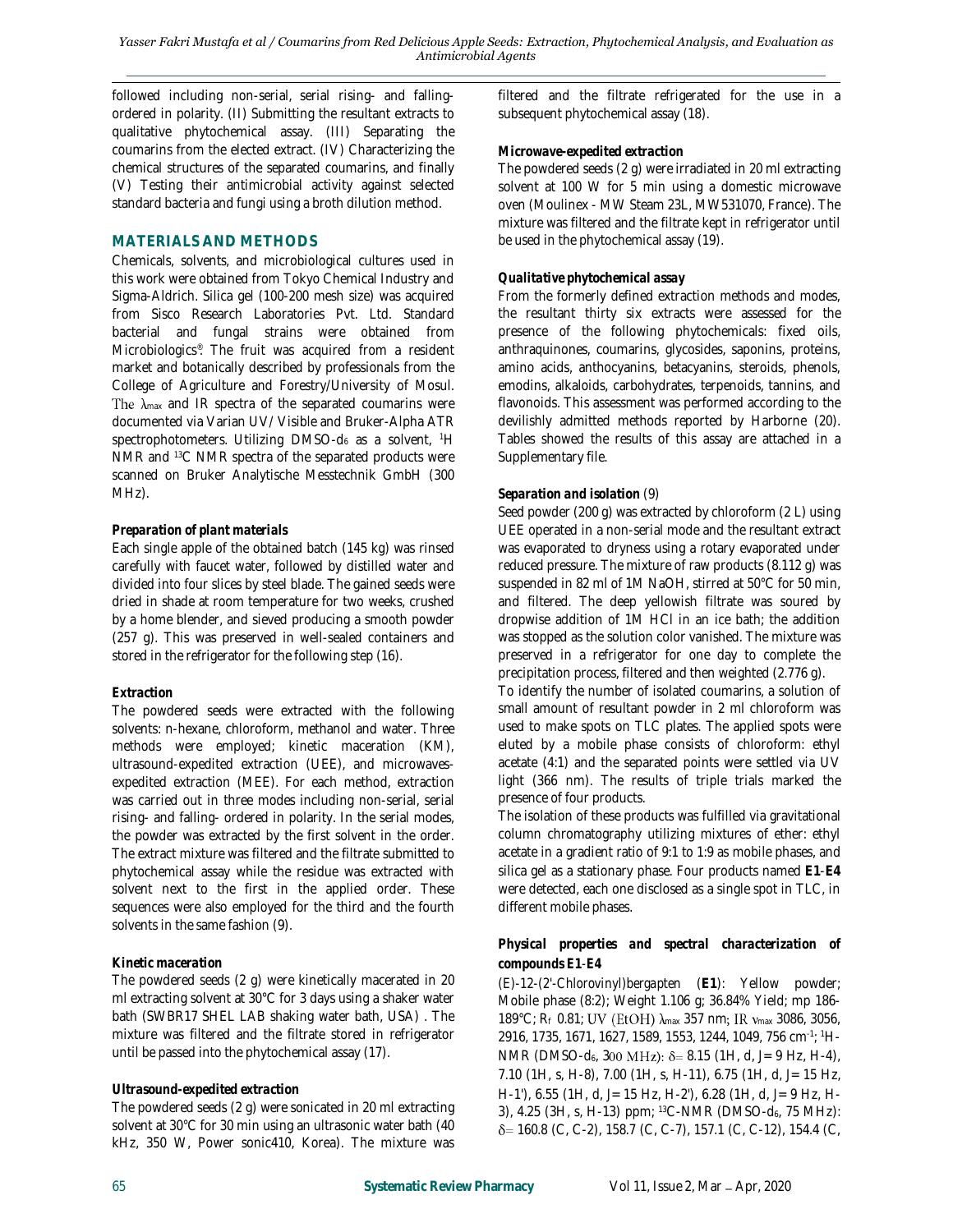followed including non-serial, serial rising- and fallingordered in polarity. (II) Submitting the resultant extracts to qualitative phytochemical assay. (III) Separating the coumarins from the elected extract. (IV) Characterizing the chemical structures of the separated coumarins, and finally (V) Testing their antimicrobial activity against selected standard bacteria and fungi using a broth dilution method.

### **MATERIALS AND METHODS**

Chemicals, solvents, and microbiological cultures used in this work were obtained from Tokyo Chemical Industry and Sigma-Aldrich. Silica gel (100-200 mesh size) was acquired from Sisco Research Laboratories Pvt. Ltd. Standard bacterial and fungal strains were obtained from Microbiologics® . The fruit was acquired from a resident market and botanically described by professionals from the College of Agriculture and Forestry/University of Mosul. The  $\lambda_{\text{max}}$  and IR spectra of the separated coumarins were documented via Varian UV/ Visible and Bruker-Alpha ATR spectrophotometers. Utilizing DMSO-d<sub>6</sub> as a solvent, <sup>1</sup>H NMR and <sup>13</sup>C NMR spectra of the separated products were scanned on Bruker Analytische Messtechnik GmbH (300 MHz).

### *Preparation of plant materials*

Each single apple of the obtained batch (145 kg) was rinsed carefully with faucet water, followed by distilled water and divided into four slices by steel blade. The gained seeds were dried in shade at room temperature for two weeks, crushed by a home blender, and sieved producing a smooth powder (257 g). This was preserved in well-sealed containers and stored in the refrigerator for the following step (16).

# *Extraction*

The powdered seeds were extracted with the following solvents: n-hexane, chloroform, methanol and water. Three methods were employed; kinetic maceration (KM), ultrasound-expedited extraction (UEE), and microwavesexpedited extraction (MEE). For each method, extraction was carried out in three modes including non-serial, serial rising- and falling- ordered in polarity. In the serial modes, the powder was extracted by the first solvent in the order. The extract mixture was filtered and the filtrate submitted to phytochemical assay while the residue was extracted with solvent next to the first in the applied order. These sequences were also employed for the third and the fourth solvents in the same fashion (9).

# *Kinetic maceration*

The powdered seeds (2 g) were kinetically macerated in 20 ml extracting solvent at 30°C for 3 days using a shaker water bath (SWBR17 SHEL LAB shaking water bath, USA) . The mixture was filtered and the filtrate stored in refrigerator until be passed into the phytochemical assay (17).

### *Ultrasound-expedited extraction*

The powdered seeds (2 g) were sonicated in 20 ml extracting solvent at 30°C for 30 min using an ultrasonic water bath (40 kHz, 350 W, Power sonic410, Korea). The mixture was

filtered and the filtrate refrigerated for the use in a subsequent phytochemical assay (18).

## *Microwave-expedited extraction*

The powdered seeds (2 g) were irradiated in 20 ml extracting solvent at 100 W for 5 min using a domestic microwave oven (Moulinex - MW Steam 23L, MW531070, France). The mixture was filtered and the filtrate kept in refrigerator until be used in the phytochemical assay (19).

## *Qualitative phytochemical assay*

From the formerly defined extraction methods and modes, the resultant thirty six extracts were assessed for the presence of the following phytochemicals: fixed oils, anthraquinones, coumarins, glycosides, saponins, proteins, amino acids, anthocyanins, betacyanins, steroids, phenols, emodins, alkaloids, carbohydrates, terpenoids, tannins, and flavonoids. This assessment was performed according to the devilishly admitted methods reported by Harborne (20). Tables showed the results of this assay are attached in a Supplementary file.

## *Separation and isolation* (9)

Seed powder (200 g) was extracted by chloroform (2 L) using UEE operated in a non-serial mode and the resultant extract was evaporated to dryness using a rotary evaporated under reduced pressure. The mixture of raw products (8.112 g) was suspended in 82 ml of 1M NaOH, stirred at 50°C for 50 min, and filtered. The deep yellowish filtrate was soured by dropwise addition of 1M HCl in an ice bath; the addition was stopped as the solution color vanished. The mixture was preserved in a refrigerator for one day to complete the precipitation process, filtered and then weighted (2.776 g).

To identify the number of isolated coumarins, a solution of small amount of resultant powder in 2 ml chloroform was used to make spots on TLC plates. The applied spots were eluted by a mobile phase consists of chloroform: ethyl acetate (4:1) and the separated points were settled via UV light (366 nm). The results of triple trials marked the presence of four products.

The isolation of these products was fulfilled via gravitational column chromatography utilizing mixtures of ether: ethyl acetate in a gradient ratio of 9:1 to 1:9 as mobile phases, and silica gel as a stationary phase. Four products named **E1**-**E4** were detected, each one disclosed as a single spot in TLC, in different mobile phases.

### *Physical properties and spectral characterization of compounds E1-E4*

*(E)-12-(2'-Chlorovinyl)bergapten* (**E1**): Yellow powder; Mobile phase (8:2); Weight 1.106 g; 36.84% Yield; mp 186- 189°C; Rf 0.81; UV (EtOH) λ max 357 nm; IR ν max 3086, 3056, 2916, 1735, 1671, 1627, 1589, 1553, 1244, 1049, 756 cm-1 ; 1H-NMR (DMSO-d<sub>6</sub>, 300 MHz): δ= 8.15 (1H, d, J= 9 Hz, H-4), 7.10 (1H, s, H-8), 7.00 (1H, s, H-11), 6.75 (1H, d, *J*= 15 Hz, H-1'), 6.55 (1H, d, *J*= 15 Hz, H-2'), 6.28 (1H, d, *J*= 9 Hz, H-3), 4.25 (3H, s, H-13) ppm; <sup>13</sup>C-NMR (DMSO-d<sub>6</sub>, 75 MHz): 160.8 (C, C-2), 158.7 (C, C-7), 157.1 (C, C-12), 154.4 (C,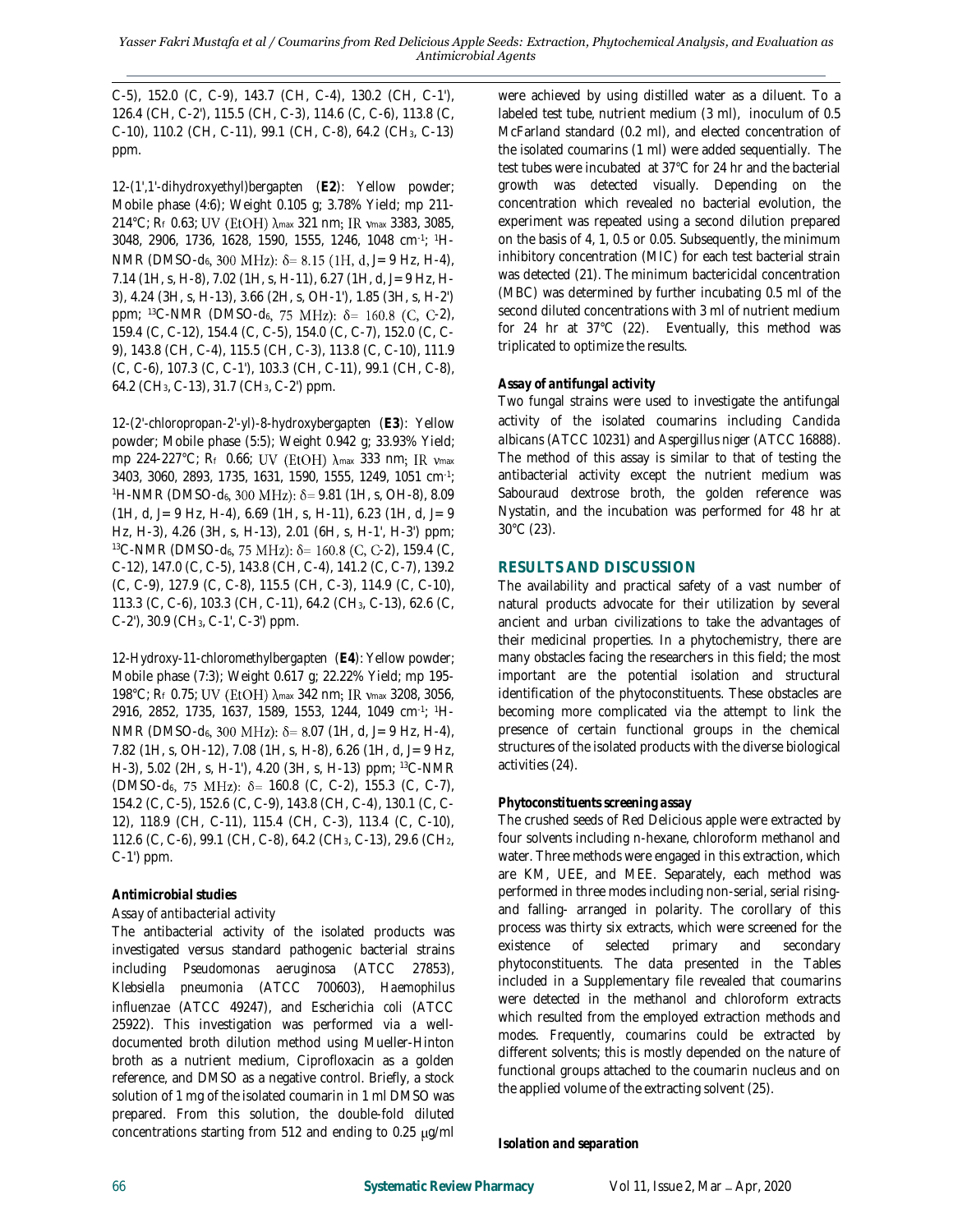C-5), 152.0 (C, C-9), 143.7 (CH, C-4), 130.2 (CH, C-1'), 126.4 (CH, C-2'), 115.5 (CH, C-3), 114.6 (C, C-6), 113.8 (C, C-10), 110.2 (CH, C-11), 99.1 (CH, C-8), 64.2 (CH3, C-13) ppm.

*12-(1',1'-dihydroxyethyl)bergapten* (**E2**): Yellow powder; Mobile phase (4:6); Weight 0.105 g; 3.78% Yield; mp 211- 214°C; Rf 0.63; UV (EtOH)  $\lambda$ max 321 nm; IR  $v$ max 3383, 3085, 3048, 2906, 1736, 1628, 1590, 1555, 1246, 1048 cm-1 ; 1H-NMR (DMSO-d<sub>6</sub>, 300 MHz): δ= 8.15 (1H, d, J= 9 Hz, H-4), 7.14 (1H, s, H-8), 7.02 (1H, s, H-11), 6.27 (1H, d, *J*= 9 Hz, H-3), 4.24 (3H, s, H-13), 3.66 (2H, s, OH-1'), 1.85 (3H, s, H-2') ppm;  $^{13}$ C-NMR (DMSO-d<sub>6</sub>, 75 MHz):  $\delta$ = 160.8 (C, C-2), 159.4 (C, C-12), 154.4 (C, C-5), 154.0 (C, C-7), 152.0 (C, C-9), 143.8 (CH, C-4), 115.5 (CH, C-3), 113.8 (C, C-10), 111.9 (C, C-6), 107.3 (C, C-1'), 103.3 (CH, C-11), 99.1 (CH, C-8), 64.2 (CH3, C-13), 31.7 (CH3, C-2') ppm.

*12-(2'-chloropropan-2'-yl)-8-hydroxybergapten* (**E3**): Yellow powder; Mobile phase (5:5); Weight 0.942 g; 33.93% Yield; mp 224-227°C; Rf 0.66; UV (EtOH)  $\lambda_{\text{max}}$  333 nm; IR  $v_{\text{max}}$ 3403, 3060, 2893, 1735, 1631, 1590, 1555, 1249, 1051 cm-1 ; <sup>1</sup>H-NMR (DMSO-d<sub>6</sub>, 300 MHz):  $\delta$  = 9.81 (1H, s, OH-8), 8.09 (1H, d, *J*= 9 Hz, H-4), 6.69 (1H, s, H-11), 6.23 (1H, d, *J*= 9 Hz, H-3), 4.26 (3H, s, H-13), 2.01 (6H, s, H-1', H-3') ppm;  $13C-NMR$  (DMSO-d<sub>6</sub>, 75 MHz):  $\delta = 160.8$  (C, C-2), 159.4 (C, C-12), 147.0 (C, C-5), 143.8 (CH, C-4), 141.2 (C, C-7), 139.2 (C, C-9), 127.9 (C, C-8), 115.5 (CH, C-3), 114.9 (C, C-10), 113.3 (C, C-6), 103.3 (CH, C-11), 64.2 (CH3, C-13), 62.6 (C, C-2'), 30.9 (CH3, C-1', C-3') ppm.

*12-Hydroxy-11-chloromethylbergapten* (**E4**): Yellow powder; Mobile phase (7:3); Weight 0.617 g; 22.22% Yield; mp 195- 198°C; R<sub>f</sub> 0.75; UV (EtOH) λ<sub>max</sub> 342 nm; IR ν<sub>max</sub> 3208, 3056, 2916, 2852, 1735, 1637, 1589, 1553, 1244, 1049 cm-1 ; 1H-NMR (DMSO-d<sub>6</sub>, 300 MHz): δ= 8.07 (1H, d, J= 9 Hz, H-4), 7.82 (1H, s, OH-12), 7.08 (1H, s, H-8), 6.26 (1H, d, *J*= 9 Hz, H-3), 5.02 (2H, s, H-1'), 4.20 (3H, s, H-13) ppm; <sup>13</sup>C-NMR  $(DMSO-d_6, 75 MHz):$   $\delta$  = 160.8 (C, C-2), 155.3 (C, C-7), 154.2 (C, C-5), 152.6 (C, C-9), 143.8 (CH, C-4), 130.1 (C, C-12), 118.9 (CH, C-11), 115.4 (CH, C-3), 113.4 (C, C-10), 112.6 (C, C-6), 99.1 (CH, C-8), 64.2 (CH3, C-13), 29.6 (CH2, C-1') ppm.

### *Antimicrobial studies*

### *Assay of antibacterial activity*

The antibacterial activity of the isolated products was investigated versus standard pathogenic bacterial strains including *Pseudomonas aeruginosa* (ATCC 27853), *Klebsiella pneumonia* (ATCC 700603), *Haemophilus influenzae* (ATCC 49247), and *Escherichia coli* (ATCC 25922). This investigation was performed via a welldocumented broth dilution method using Mueller-Hinton broth as a nutrient medium, Ciprofloxacin as a golden reference, and DMSO as a negative control. Briefly, a stock solution of 1 mg of the isolated coumarin in 1 ml DMSO was prepared. From this solution, the double-fold diluted concentrations starting from 512 and ending to 0.25  $\mu$ g/ml

were achieved by using distilled water as a diluent. To a labeled test tube, nutrient medium (3 ml), inoculum of 0.5 McFarland standard (0.2 ml), and elected concentration of the isolated coumarins (1 ml) were added sequentially. The test tubes were incubated at 37°C for 24 hr and the bacterial growth was detected visually. Depending on the concentration which revealed no bacterial evolution, the experiment was repeated using a second dilution prepared on the basis of 4, 1, 0.5 or 0.05. Subsequently, the minimum inhibitory concentration (MIC) for each test bacterial strain was detected (21). The minimum bactericidal concentration (MBC) was determined by further incubating 0.5 ml of the second diluted concentrations with 3 ml of nutrient medium for 24 hr at 37°C (22). Eventually, this method was triplicated to optimize the results.

## *Assay of antifungal activity*

Two fungal strains were used to investigate the antifungal activity of the isolated coumarins including *Candida albicans* (ATCC 10231) and *Aspergillus niger* (ATCC 16888). The method of this assay is similar to that of testing the antibacterial activity except the nutrient medium was Sabouraud dextrose broth, the golden reference was Nystatin, and the incubation was performed for 48 hr at 30°C (23).

# **RESULTS AND DISCUSSION**

The availability and practical safety of a vast number of natural products advocate for their utilization by several ancient and urban civilizations to take the advantages of their medicinal properties. In a phytochemistry, there are many obstacles facing the researchers in this field; the most important are the potential isolation and structural identification of the phytoconstituents. These obstacles are becoming more complicated via the attempt to link the presence of certain functional groups in the chemical structures of the isolated products with the diverse biological activities (24).

# *Phytoconstituents screening assay*

The crushed seeds of Red Delicious apple were extracted by four solvents including n-hexane, chloroform methanol and water. Three methods were engaged in this extraction, which are KM, UEE, and MEE. Separately, each method was performed in three modes including non-serial, serial risingand falling- arranged in polarity. The corollary of this process was thirty six extracts, which were screened for the existence of selected primary and secondary phytoconstituents. The data presented in the Tables included in a Supplementary file revealed that coumarins were detected in the methanol and chloroform extracts which resulted from the employed extraction methods and modes. Frequently, coumarins could be extracted by different solvents; this is mostly depended on the nature of functional groups attached to the coumarin nucleus and on the applied volume of the extracting solvent (25).

#### *Isolation and separation*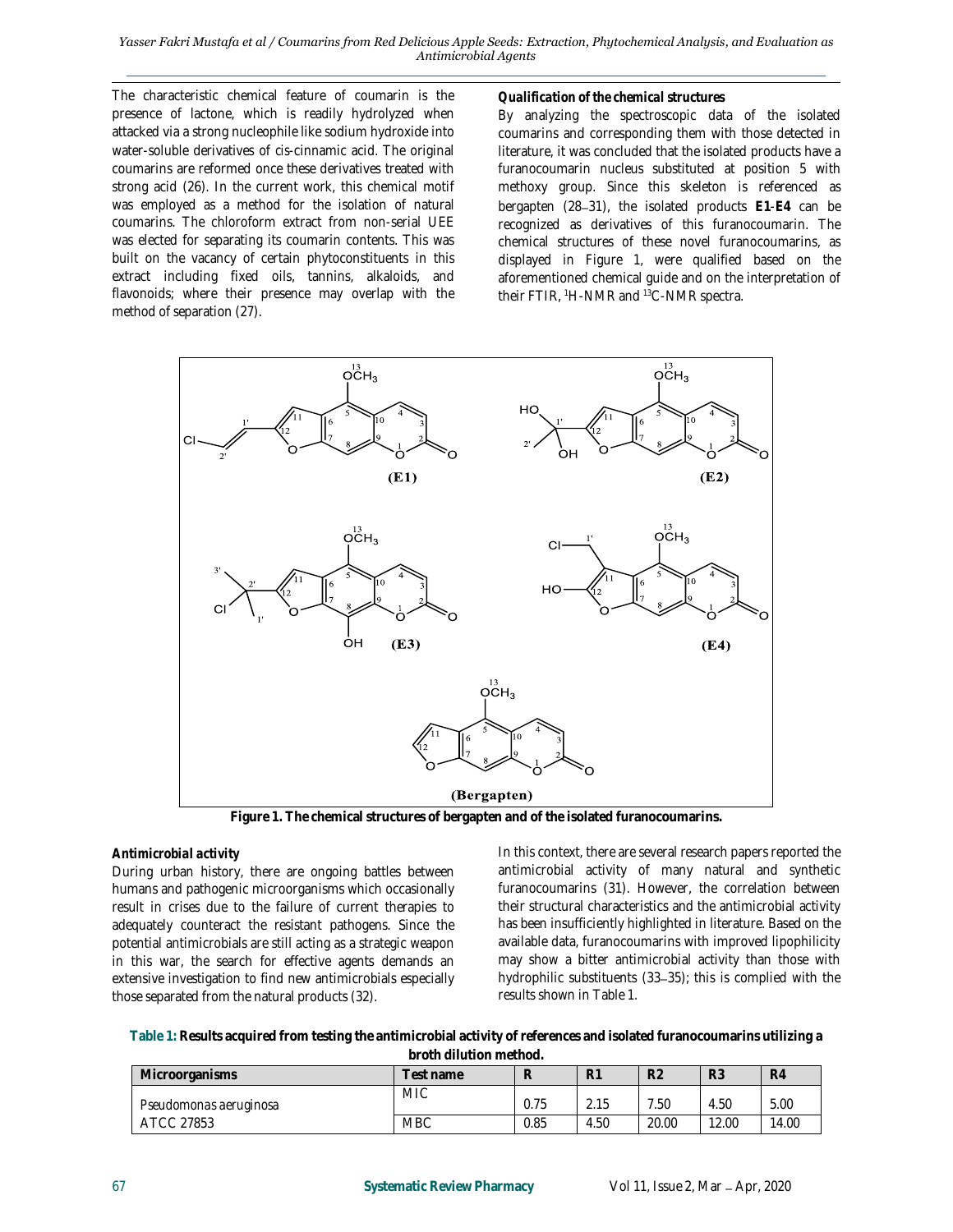#### *Yasser Fakri Mustafa et al / Coumarins from Red Delicious Apple Seeds: Extraction, Phytochemical Analysis, and Evaluation as Antimicrobial Agents*

The characteristic chemical feature of coumarin is the presence of lactone, which is readily hydrolyzed when attacked via a strong nucleophile like sodium hydroxide into water-soluble derivatives of *cis*-cinnamic acid. The original coumarins are reformed once these derivatives treated with strong acid (26). In the current work, this chemical motif was employed as a method for the isolation of natural coumarins. The chloroform extract from non-serial UEE was elected for separating its coumarin contents. This was built on the vacancy of certain phytoconstituents in this extract including fixed oils, tannins, alkaloids, and flavonoids; where their presence may overlap with the method of separation (27).

#### *Qualification of the chemical structures*

By analyzing the spectroscopic data of the isolated coumarins and corresponding them with those detected in literature, it was concluded that the isolated products have a furanocoumarin nucleus substituted at position 5 with methoxy group. Since this skeleton is referenced as bergapten (28 31), the isolated products **E1**-**E4** can be recognized as derivatives of this furanocoumarin. The chemical structures of these novel furanocoumarins, as displayed in Figure 1, were qualified based on the aforementioned chemical guide and on the interpretation of their FTIR, <sup>1</sup>H-NMR and <sup>13</sup>C-NMR spectra.



**Figure 1. The chemical structures of bergapten and of the isolated furanocoumarins.**

#### *Antimicrobial activity*

During urban history, there are ongoing battles between humans and pathogenic microorganisms which occasionally result in crises due to the failure of current therapies to adequately counteract the resistant pathogens. Since the potential antimicrobials are still acting as a strategic weapon in this war, the search for effective agents demands an extensive investigation to find new antimicrobials especially those separated from the natural products (32).

In this context, there are several research papers reported the antimicrobial activity of many natural and synthetic furanocoumarins (31). However, the correlation between their structural characteristics and the antimicrobial activity has been insufficiently highlighted in literature. Based on the available data, furanocoumarins with improved lipophilicity may show a bitter antimicrobial activity than those with hydrophilic substituents  $(33-35)$ ; this is complied with the results shown in Table 1.

**Table 1: Results acquired from testing the antimicrobial activity of references and isolated furanocoumarins utilizing a broth dilution method.**

| <u>bi oli i uliulioi illioti idu.</u> |            |      |      |                |       |       |
|---------------------------------------|------------|------|------|----------------|-------|-------|
| <b>Microorganisms</b>                 | ⊺est name  |      | R1   | R <sub>2</sub> | R3    | R4    |
| Pseudomonas aeruginosa                | <b>MIC</b> | 0.75 | 2.15 | .50            | 4.50  | 5.00  |
| ATCC 27853                            | <b>MBC</b> | 0.85 | 4.50 | 20.00          | 12.00 | .4.00 |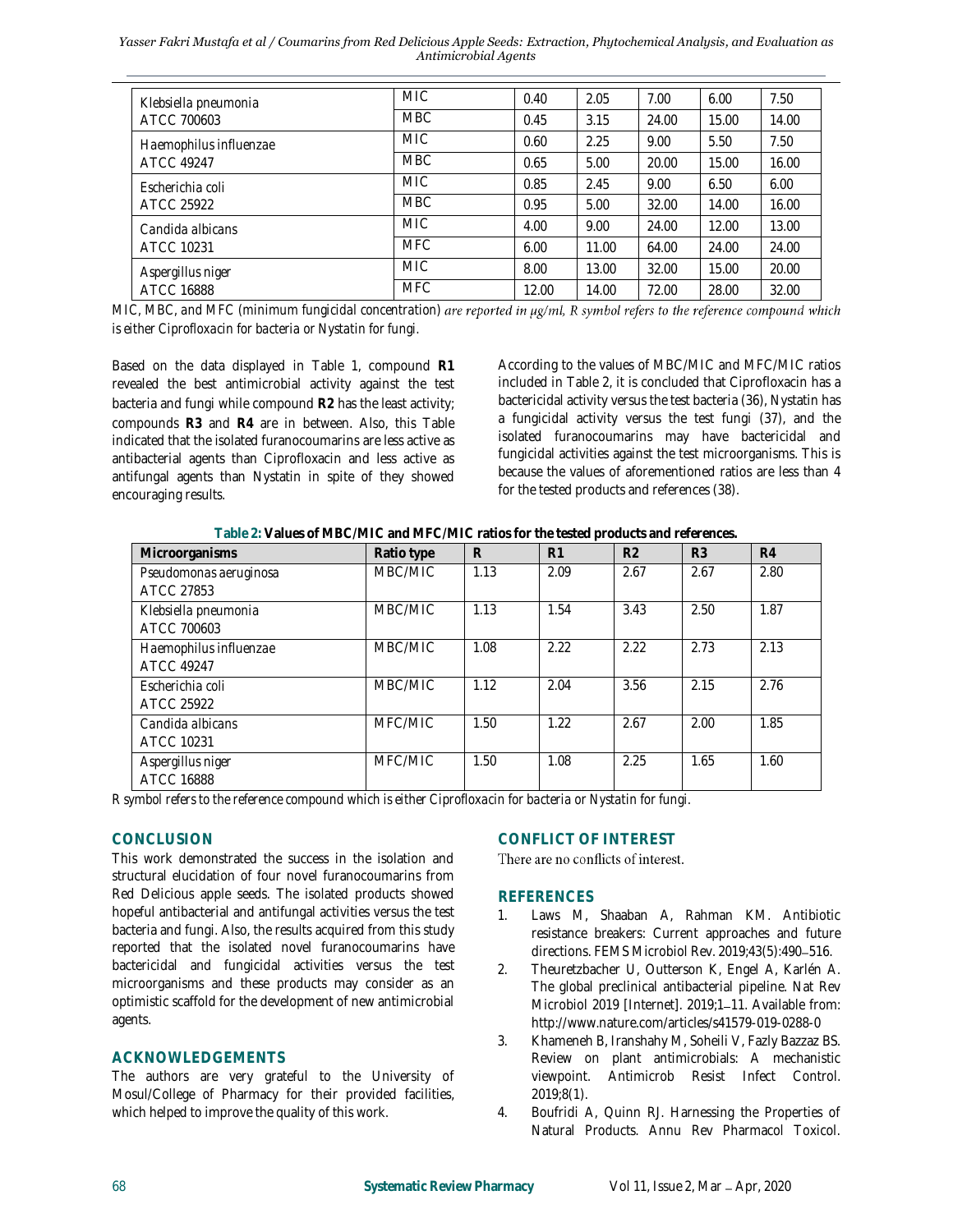#### *Yasser Fakri Mustafa et al / Coumarins from Red Delicious Apple Seeds: Extraction, Phytochemical Analysis, and Evaluation as Antimicrobial Agents*

| Klebsiella pneumonia<br>ATCC 700603    | <b>MIC</b> | 0.40  | 2.05  | 7.00  | 6.00  | 7.50  |
|----------------------------------------|------------|-------|-------|-------|-------|-------|
|                                        | <b>MBC</b> | 0.45  | 3.15  | 24.00 | 15.00 | 14.00 |
| Haemophilus influenzae<br>ATCC 49247   | <b>MIC</b> | 0.60  | 2.25  | 9.00  | 5.50  | 7.50  |
|                                        | <b>MBC</b> | 0.65  | 5.00  | 20.00 | 15.00 | 16.00 |
| Escherichia coli<br>ATCC 25922         | <b>MIC</b> | 0.85  | 2.45  | 9.00  | 6.50  | 6.00  |
|                                        | <b>MBC</b> | 0.95  | 5.00  | 32.00 | 14.00 | 16.00 |
| Candida albicans<br>ATCC 10231         | <b>MIC</b> | 4.00  | 9.00  | 24.00 | 12.00 | 13.00 |
|                                        | <b>MFC</b> | 6.00  | 11.00 | 64.00 | 24.00 | 24.00 |
| Aspergillus niger<br><b>ATCC 16888</b> | <b>MIC</b> | 8.00  | 13.00 | 32.00 | 15.00 | 20.00 |
|                                        | <b>MFC</b> | 12.00 | 14.00 | 72.00 | 28.00 | 32.00 |

*MIC, MBC, and MFC (minimum fungicidal concentration) are reported in*  $\mu$ *g/ml, R symbol refers to the reference compound which is either Ciprofloxacin for bacteria or Nystatin for fungi.*

Based on the data displayed in Table 1, compound **R1** revealed the best antimicrobial activity against the test bacteria and fungi while compound **R2** has the least activity; compounds **R3** and **R4** are in between. Also, this Table indicated that the isolated furanocoumarins are less active as antibacterial agents than Ciprofloxacin and less active as antifungal agents than Nystatin in spite of they showed encouraging results.

According to the values of MBC/MIC and MFC/MIC ratios included in Table 2, it is concluded that Ciprofloxacin has a bactericidal activity versus the test bacteria (36), Nystatin has a fungicidal activity versus the test fungi (37), and the isolated furanocoumarins may have bactericidal and fungicidal activities against the test microorganisms. This is because the values of aforementioned ratios are less than 4 for the tested products and references (38).

| Table 2: Values of MBC/MIC and MFC/MIC ratios for the tested products and references. |
|---------------------------------------------------------------------------------------|
|---------------------------------------------------------------------------------------|

| Microorganisms                         | Ratio type | R    | R <sub>1</sub> | R <sub>2</sub> | R <sub>3</sub> | R4   |
|----------------------------------------|------------|------|----------------|----------------|----------------|------|
| Pseudomonas aeruginosa<br>ATCC 27853   | MBC/MIC    | 1.13 | 2.09           | 2.67           | 2.67           | 2.80 |
| Klebsiella pneumonia<br>ATCC 700603    | MBC/MIC    | 1.13 | 1.54           | 3.43           | 2.50           | 1.87 |
| Haemophilus influenzae<br>ATCC 49247   | MBC/MIC    | 1.08 | 2.22           | 2.22           | 2.73           | 2.13 |
| Escherichia coli<br>ATCC 25922         | MBC/MIC    | 1.12 | 2.04           | 3.56           | 2.15           | 2.76 |
| Candida albicans<br>ATCC 10231         | MFC/MIC    | 1.50 | 1.22           | 2.67           | 2.00           | 1.85 |
| Aspergillus niger<br><b>ATCC 16888</b> | MFC/MIC    | 1.50 | 1.08           | 2.25           | 1.65           | 1.60 |

*R symbol refers to the reference compound which is either Ciprofloxacin for bacteria or Nystatin for fungi.*

### **CONCLUSION**

This work demonstrated the success in the isolation and structural elucidation of four novel furanocoumarins from Red Delicious apple seeds. The isolated products showed hopeful antibacterial and antifungal activities versus the test bacteria and fungi. Also, the results acquired from this study reported that the isolated novel furanocoumarins have bactericidal and fungicidal activities versus the test microorganisms and these products may consider as an optimistic scaffold for the development of new antimicrobial agents.

### **ACKNOWLEDGEMENTS**

The authors are very grateful to the University of Mosul/College of Pharmacy for their provided facilities, which helped to improve the quality of this work.

# **CONFLICT OF INTEREST**

There are no conflicts of interest.

# **REFERENCES**

- 1. Laws M, Shaaban A, Rahman KM. Antibiotic resistance breakers: Current approaches and future directions. FEMS Microbiol Rev. 2019;43(5):490-516.
- 2. Theuretzbacher U, Outterson K, Engel A, Karlén A. The global preclinical antibacterial pipeline. Nat Rev Microbiol 2019 [Internet]. 2019;1-11. Available from: http://www.nature.com/articles/s41579-019-0288-0
- 3. Khameneh B, Iranshahy M, Soheili V, Fazly Bazzaz BS. Review on plant antimicrobials: A mechanistic viewpoint. Antimicrob Resist Infect Control. 2019;8(1).
- 4. Boufridi A, Quinn RJ. Harnessing the Properties of Natural Products. Annu Rev Pharmacol Toxicol.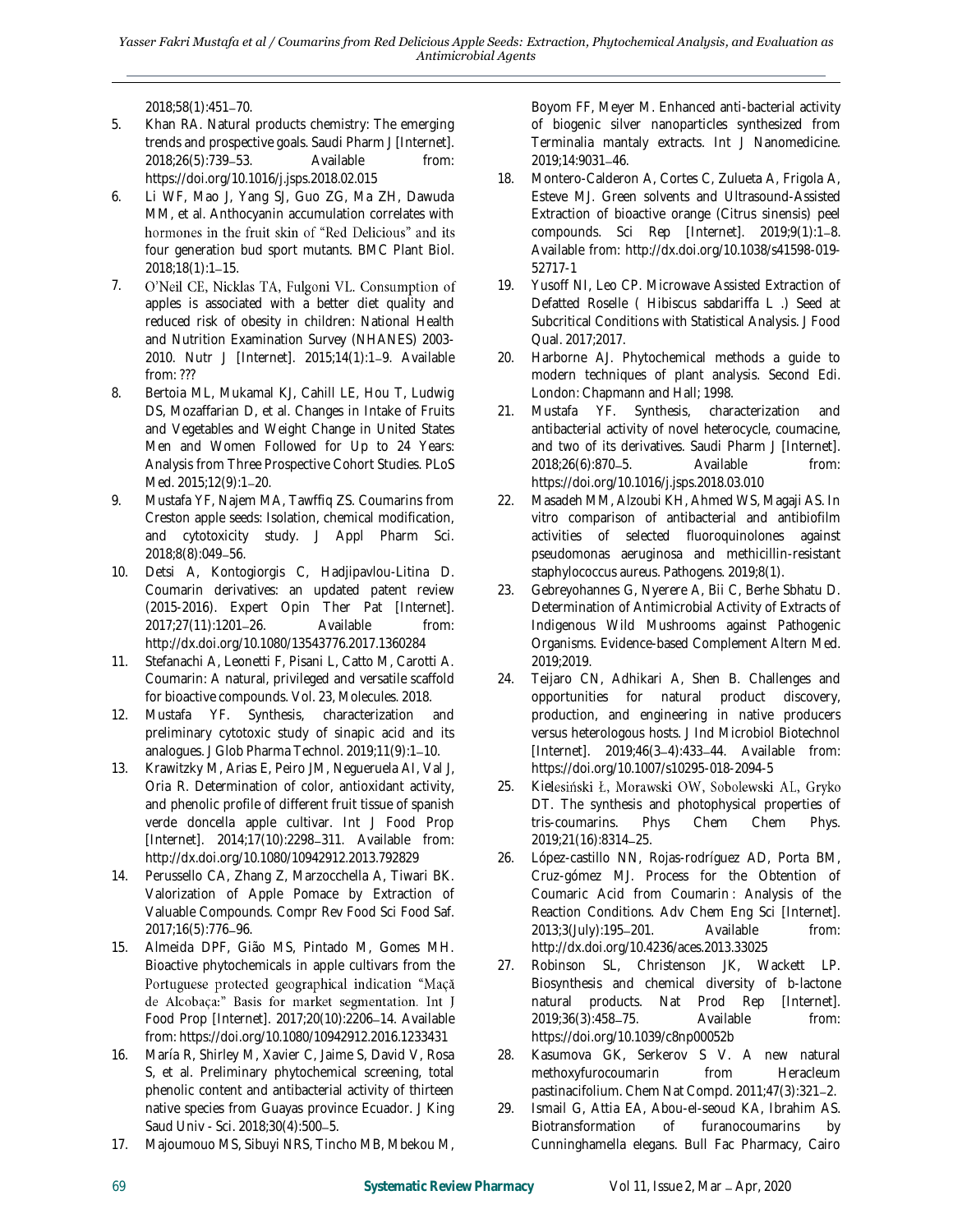2018;58(1):451 70.

- 5. Khan RA. Natural products chemistry: The emerging trends and prospective goals. Saudi Pharm J [Internet]. 2018;26(5):739 53. Available from: https://doi.org/10.1016/j.jsps.2018.02.015
- 6. Li WF, Mao J, Yang SJ, Guo ZG, Ma ZH, Dawuda MM, et al. Anthocyanin accumulation correlates with hormones in the fruit skin of "Red Delicious" and its four generation bud sport mutants. BMC Plant Biol. 2018;18(1):1-15.
- 7. O'Neil CE, Nicklas TA, Fulgoni VL. Consumption of apples is associated with a better diet quality and reduced risk of obesity in children: National Health and Nutrition Examination Survey (NHANES) 2003- 2010. Nutr J [Internet]. 2015;14(1):1-9. Available from: ???
- 8. Bertoia ML, Mukamal KJ, Cahill LE, Hou T, Ludwig DS, Mozaffarian D, et al. Changes in Intake of Fruits and Vegetables and Weight Change in United States Men and Women Followed for Up to 24 Years: Analysis from Three Prospective Cohort Studies. PLoS Med. 2015;12(9):1-20.
- 9. Mustafa YF, Najem MA, Tawffiq ZS. Coumarins from Creston apple seeds: Isolation, chemical modification, and cytotoxicity study. J Appl Pharm Sci. 2018;8(8):049-56.
- 10. Detsi A, Kontogiorgis C, Hadjipavlou-Litina D. Coumarin derivatives: an updated patent review (2015-2016). Expert Opin Ther Pat [Internet]. 2017;27(11):1201-26. Available from: http://dx.doi.org/10.1080/13543776.2017.1360284
- 11. Stefanachi A, Leonetti F, Pisani L, Catto M, Carotti A. Coumarin: A natural, privileged and versatile scaffold for bioactive compounds. Vol. 23, Molecules. 2018.
- 12. Mustafa YF. Synthesis, characterization and preliminary cytotoxic study of sinapic acid and its analogues. J Glob Pharma Technol. 2019;11(9):1-10.
- 13. Krawitzky M, Arias E, Peiro JM, Negueruela AI, Val J, Oria R. Determination of color, antioxidant activity, and phenolic profile of different fruit tissue of spanish verde doncella apple cultivar. Int J Food Prop [Internet]. 2014;17(10):2298-311. Available from: http://dx.doi.org/10.1080/10942912.2013.792829
- 14. Perussello CA, Zhang Z, Marzocchella A, Tiwari BK. Valorization of Apple Pomace by Extraction of Valuable Compounds. Compr Rev Food Sci Food Saf. 2017;16(5):776-96.
- 15. Almeida DPF, Gião MS, Pintado M, Gomes MH. Bioactive phytochemicals in apple cultivars from the Portuguese protected geographical indication "Maçã de Alcobaça:" Basis for market segmentation. Int J Food Prop [Internet]. 2017;20(10):2206-14. Available from: https://doi.org/10.1080/10942912.2016.1233431
- 16. María R, Shirley M, Xavier C, Jaime S, David V, Rosa S, et al. Preliminary phytochemical screening, total phenolic content and antibacterial activity of thirteen native species from Guayas province Ecuador. J King Saud Univ - Sci. 2018;30(4):500-5.
- 17. Majoumouo MS, Sibuyi NRS, Tincho MB, Mbekou M,

Boyom FF, Meyer M. Enhanced anti-bacterial activity of biogenic silver nanoparticles synthesized from Terminalia mantaly extracts. Int J Nanomedicine. 2019:14:9031-46.

- 18. Montero-Calderon A, Cortes C, Zulueta A, Frigola A, Esteve MJ. Green solvents and Ultrasound-Assisted Extraction of bioactive orange (Citrus sinensis) peel compounds. Sci Rep [Internet]. 2019;9(1):1-8. Available from: http://dx.doi.org/10.1038/s41598-019- 52717-1
- 19. Yusoff NI, Leo CP. Microwave Assisted Extraction of Defatted Roselle ( Hibiscus sabdariffa L .) Seed at Subcritical Conditions with Statistical Analysis. J Food Qual. 2017;2017.
- 20. Harborne AJ. Phytochemical methods a guide to modern techniques of plant analysis. Second Edi. London: Chapmann and Hall; 1998.
- 21. Mustafa YF. Synthesis, characterization and antibacterial activity of novel heterocycle, coumacine, and two of its derivatives. Saudi Pharm J [Internet]. 2018;26(6):870-5. Available from: https://doi.org/10.1016/j.jsps.2018.03.010
- 22. Masadeh MM, Alzoubi KH, Ahmed WS, Magaji AS. In vitro comparison of antibacterial and antibiofilm activities of selected fluoroquinolones against pseudomonas aeruginosa and methicillin-resistant staphylococcus aureus. Pathogens. 2019;8(1).
- 23. Gebreyohannes G, Nyerere A, Bii C, Berhe Sbhatu D. Determination of Antimicrobial Activity of Extracts of Indigenous Wild Mushrooms against Pathogenic Organisms. Evidence-based Complement Altern Med. 2019;2019.
- 24. Teijaro CN, Adhikari A, Shen B. Challenges and opportunities for natural product discovery, production, and engineering in native producers versus heterologous hosts. J Ind Microbiol Biotechnol [Internet]. 2019;46(3-4):433-44. Available from: https://doi.org/10.1007/s10295-018-2094-5
- 25. Kielesiński Ł, Morawski OW, Sobolewski AL, Gryko DT. The synthesis and photophysical properties of tris-coumarins. Phys Chem Chem Phys. 2019;21(16):8314 25.
- 26. López-castillo NN, Rojas-rodríguez AD, Porta BM, Cruz-gómez MJ. Process for the Obtention of Coumaric Acid from Coumarin : Analysis of the Reaction Conditions. Adv Chem Eng Sci [Internet]. 2013;3(July):195-201. Available from: http://dx.doi.org/10.4236/aces.2013.33025
- 27. Robinson SL, Christenson JK, Wackett LP. Biosynthesis and chemical diversity of b-lactone natural products. Nat Prod Rep [Internet]. 2019;36(3):458-75. Available from: https://doi.org/10.1039/c8np00052b
- 28. Kasumova GK, Serkerov S V. A new natural methoxyfurocoumarin from Heracleum pastinacifolium. Chem Nat Compd. 2011;47(3):321-2.
- 29. Ismail G, Attia EA, Abou-el-seoud KA, Ibrahim AS. Biotransformation of furanocoumarins by Cunninghamella elegans. Bull Fac Pharmacy, Cairo